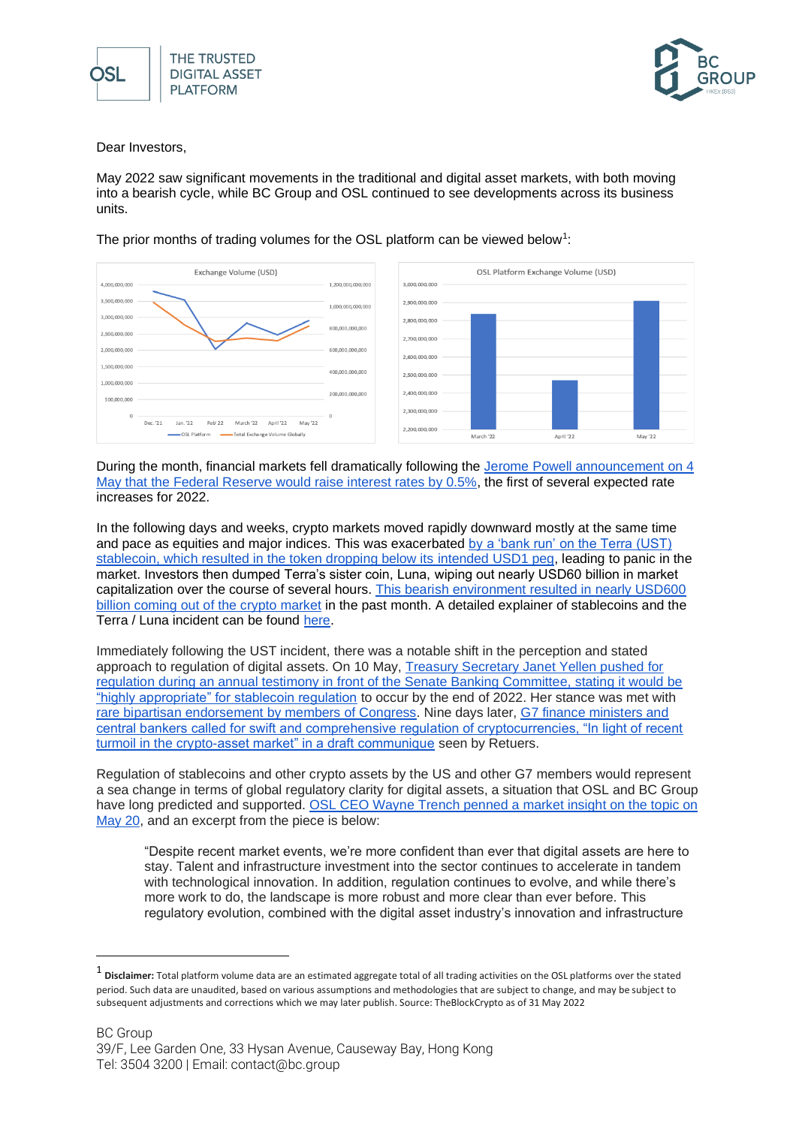



Dear Investors.

May 2022 saw significant movements in the traditional and digital asset markets, with both moving into a bearish cycle, while BC Group and OSL continued to see developments across its business units.

The prior months of trading volumes for the OSL platform can be viewed below<sup>1</sup>:



During the month, financial markets fell dramatically following the [Jerome Powell announcement on 4](https://www.federalreserve.gov/newsevents/pressreleases/monetary20220504a1.htm#:~:text=The%20Board%20of%20Governors%20of,%2C%20effective%20May%205%2C%202022.)  [May that the Federal Reserve would raise interest rates by 0.5%,](https://www.federalreserve.gov/newsevents/pressreleases/monetary20220504a1.htm#:~:text=The%20Board%20of%20Governors%20of,%2C%20effective%20May%205%2C%202022.) the first of several expected rate increases for 2022.

In the following days and weeks, crypto markets moved rapidly downward mostly at the same time and pace as equities and major indices. This was exacerbated [by a 'bank run' on the Terra \(UST\)](https://www.cnbc.com/2022/05/25/terra-backers-vote-to-revive-luna-cryptocurrency-abandon-ust.html)  [stablecoin, which resulted in the token dropping below its intended USD1 peg,](https://www.cnbc.com/2022/05/25/terra-backers-vote-to-revive-luna-cryptocurrency-abandon-ust.html) leading to panic in the market. Investors then dumped Terra's sister coin, Luna, wiping out nearly USD60 billion in market capitalization over the course of several hours. [This bearish environment resulted in nearly USD600](https://finance.yahoo.com/news/crypto-sell-off-were-finding-out-whos-wearing-clothes-strategist-says-144305237.html)  [billion coming out of the crypto market](https://finance.yahoo.com/news/crypto-sell-off-were-finding-out-whos-wearing-clothes-strategist-says-144305237.html) in the past month. A detailed explainer of stablecoins and the Terra / Luna incident can be found [here.](https://www.coindesk.com/layer2/2022/05/11/the-luna-and-ust-crash-explained-in-5-charts/)

Immediately following the UST incident, there was a notable shift in the perception and stated approach to regulation of digital assets. On 10 May, [Treasury Secretary Janet Yellen pushed for](https://techcrunch.com/2022/05/10/us-treasury-secretary-janet-yellen-pushes-for-stablecoin-regulation-by-end-of-year/)  [regulation during an annual testimony in front of the Senate Banking Committee, stating it would be](https://techcrunch.com/2022/05/10/us-treasury-secretary-janet-yellen-pushes-for-stablecoin-regulation-by-end-of-year/)  ["highly appropriate" for stablecoin regulation](https://techcrunch.com/2022/05/10/us-treasury-secretary-janet-yellen-pushes-for-stablecoin-regulation-by-end-of-year/) to occur by the end of 2022. Her stance was met with [rare bipartisan endorsement by members of Congress.](https://thehill.com/policy/finance/3483570-yellen-points-to-hedge-funds-unregulated-cryptocurrency-as-sources-of-instability/) Nine days later, G7 finance ministers and [central bankers called for swift and comprehensive regulation of cryptocurrencies, "In light of recent](https://www.reuters.com/technology/g7-countries-urge-swift-regulation-crypto-assets-draft-2022-05-19/)  [turmoil in the crypto-asset market" in a draft communique](https://www.reuters.com/technology/g7-countries-urge-swift-regulation-crypto-assets-draft-2022-05-19/) seen by Retuers.

Regulation of stablecoins and other crypto assets by the US and other G7 members would represent a sea change in terms of global regulatory clarity for digital assets, a situation that OSL and BC Group have long predicted and supported. OSL CEO Wayne Trench penned a market insight on the topic on [May 20,](https://osl.com/en/market-insights/look-past-the-clouds-the-future-for-digital-assets-is-bright/) and an excerpt from the piece is below:

"Despite recent market events, we're more confident than ever that digital assets are here to stay. Talent and infrastructure investment into the sector continues to accelerate in tandem with technological innovation. In addition, regulation continues to evolve, and while there's more work to do, the landscape is more robust and more clear than ever before. This regulatory evolution, combined with the digital asset industry's innovation and infrastructure

<sup>&</sup>lt;sup>1</sup> Disclaimer: Total platform volume data are an estimated aggregate total of all trading activities on the OSL platforms over the stated period. Such data are unaudited, based on various assumptions and methodologies that are subject to change, and may be subject to subsequent adjustments and corrections which we may later publish. Source: TheBlockCrypto as of 31 May 2022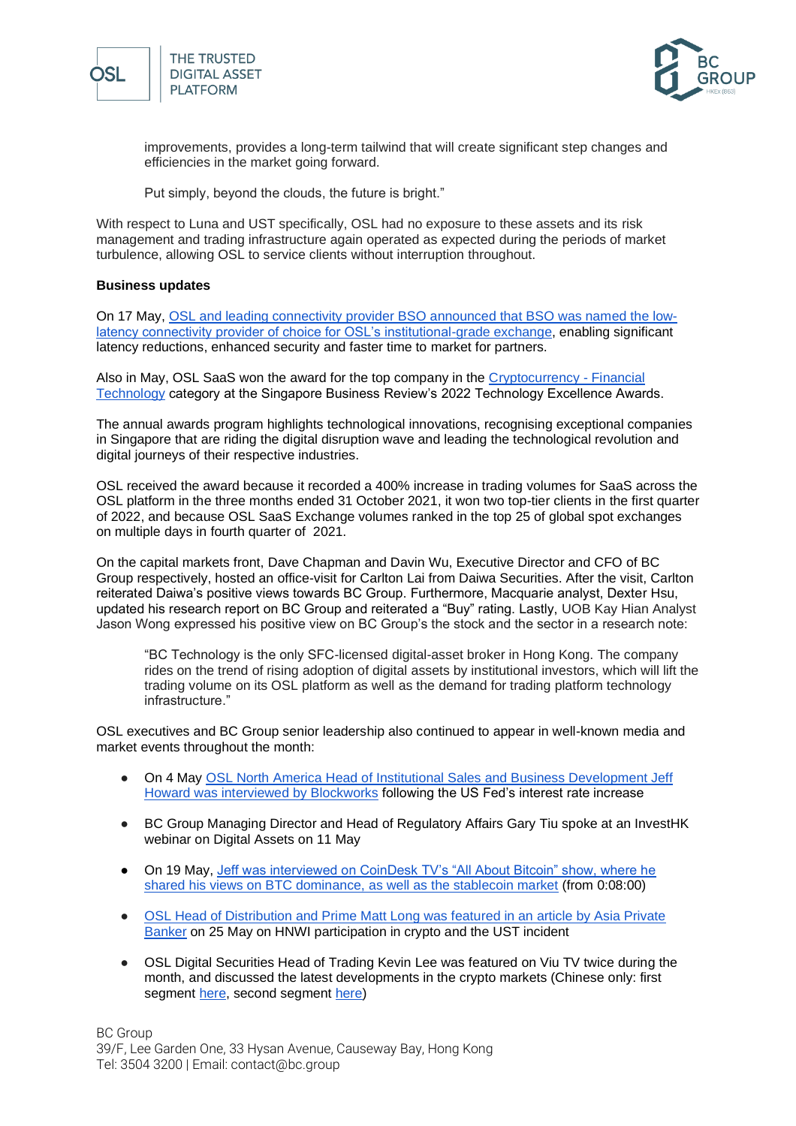



improvements, provides a long-term tailwind that will create significant step changes and efficiencies in the market going forward.

Put simply, beyond the clouds, the future is bright."

With respect to Luna and UST specifically, OSL had no exposure to these assets and its risk management and trading infrastructure again operated as expected during the periods of market turbulence, allowing OSL to service clients without interruption throughout.

## **Business updates**

On 17 May, [OSL and leading connectivity provider BSO announced that BSO was named the low](https://osl.com/en/press-release/osl-and-bso-unveil-strategic-partnership-to-bolster-connectivity-for-institutional-exchange-clients/)[latency connectivity provider of choice for OSL's institutional-grade exchange,](https://osl.com/en/press-release/osl-and-bso-unveil-strategic-partnership-to-bolster-connectivity-for-institutional-exchange-clients/) enabling significant latency reductions, enhanced security and faster time to market for partners.

Also in May, OSL SaaS won the award for the top company in the [Cryptocurrency -](https://sbr.com.sg/co-written-partner/event-news/osl-saas-wins-top-cryptocurrency-award-in-sbr-technology-excellence-awards) Financial [Technology](https://sbr.com.sg/co-written-partner/event-news/osl-saas-wins-top-cryptocurrency-award-in-sbr-technology-excellence-awards) category at the Singapore Business Review's 2022 Technology Excellence Awards.

The annual awards program highlights technological innovations, recognising exceptional companies in Singapore that are riding the digital disruption wave and leading the technological revolution and digital journeys of their respective industries.

OSL received the award because it recorded a 400% increase in trading volumes for SaaS across the OSL platform in the three months ended 31 October 2021, it won two top-tier clients in the first quarter of 2022, and because OSL SaaS Exchange volumes ranked in the top 25 of global spot exchanges on multiple days in fourth quarter of 2021.

On the capital markets front, Dave Chapman and Davin Wu, Executive Director and CFO of BC Group respectively, hosted an office-visit for Carlton Lai from Daiwa Securities. After the visit, Carlton reiterated Daiwa's positive views towards BC Group. Furthermore, Macquarie analyst, Dexter Hsu, updated his research report on BC Group and reiterated a "Buy" rating. Lastly, UOB Kay Hian Analyst Jason Wong expressed his positive view on BC Group's the stock and the sector in a research note:

"BC Technology is the only SFC-licensed digital-asset broker in Hong Kong. The company rides on the trend of rising adoption of digital assets by institutional investors, which will lift the trading volume on its OSL platform as well as the demand for trading platform technology infrastructure."

OSL executives and BC Group senior leadership also continued to appear in well-known media and market events throughout the month:

- On 4 May OSL North America Head of Institutional Sales and Business Development Jeff [Howard was interviewed by Blockworks](https://blockworks.co/fed-approves-half-point-interest-rate-hike-crypto-trades-like-big-tech/) following the US Fed's interest rate increase
- BC Group Managing Director and Head of Regulatory Affairs Gary Tiu spoke at an InvestHK webinar on Digital Assets on 11 May
- On 19 May, Jeff was interviewed on CoinDesk TV's "All About Bitcoin" show, where he [shared his views on BTC dominance, as well as the stablecoin market](https://www.coindesk.com/tv/all-about-bitcoin/all-about-bitcoin-may-19-2022/) (from 0:08:00)
- OSL Head of Distribution and Prime Matt Long was featured in an article by Asia Private [Banker](https://asianprivatebanker.com/technology/what-meltdown-why-blockchain-and-crypto-could-still-find-favour-with-u-hnwis/) on 25 May on HNWI participation in crypto and the UST incident
- OSL Digital Securities Head of Trading Kevin Lee was featured on Viu TV twice during the month, and discussed the latest developments in the crypto markets (Chinese only: first segment [here,](https://viu.tv/encore/invest-smarter-2020/invest-smarter-2020e55020220520) second segment [here\)](https://viu.tv/ch/99)